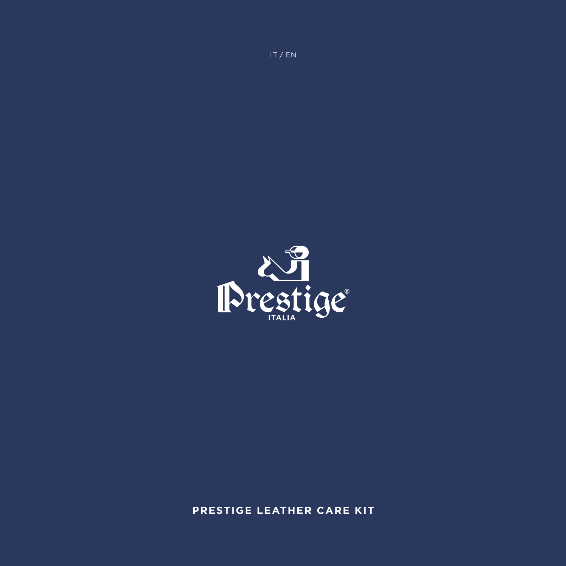

**PRESTIGE LEATHER CARE KIT**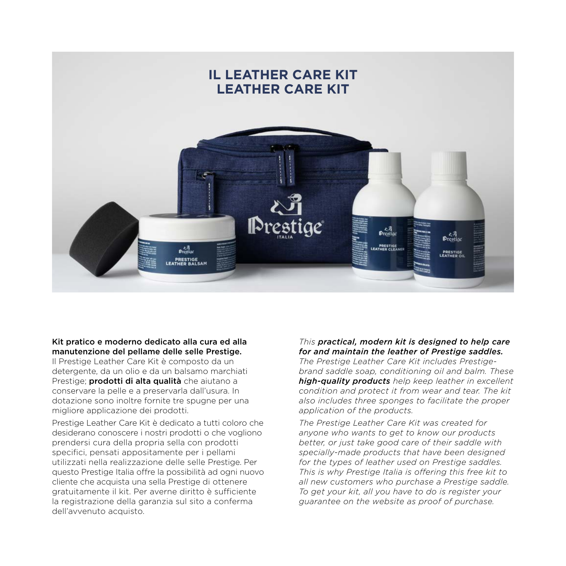

#### Kit pratico e moderno dedicato alla cura ed alla manutenzione del pellame delle selle Prestige.

Il Prestige Leather Care Kit è composto da un detergente, da un olio e da un balsamo marchiati Prestige; **prodotti di alta qualità** che aiutano a conservare la pelle e a preservarla dall'usura. In dotazione sono inoltre fornite tre spugne per una migliore applicazione dei prodotti.

Prestige Leather Care Kit è dedicato a tutti coloro che desiderano conoscere i nostri prodotti o che vogliono prendersi cura della propria sella con prodotti specifici, pensati appositamente per i pellami utilizzati nella realizzazione delle selle Prestige. Per questo Prestige Italia offre la possibilità ad ogni nuovo cliente che acquista una sella Prestige di ottenere gratuitamente il kit. Per averne diritto è sufficiente la registrazione della garanzia sul sito a conferma dell'avvenuto acquisto.

### *This practical, modern kit is designed to help care for and maintain the leather of Prestige saddles.*

*The Prestige Leather Care Kit includes Prestigebrand saddle soap, conditioning oil and balm. These high-quality products help keep leather in excellent condition and protect it from wear and tear. The kit also includes three sponges to facilitate the proper application of the products.* 

*The Prestige Leather Care Kit was created for anyone who wants to get to know our products better, or just take good care of their saddle with specially-made products that have been designed for the types of leather used on Prestige saddles. This is why Prestige Italia is offering this free kit to all new customers who purchase a Prestige saddle. To get your kit, all you have to do is register your guarantee on the website as proof of purchase.*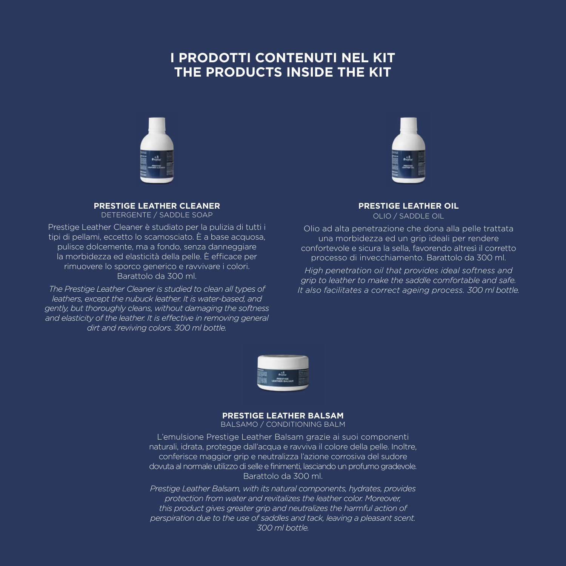# **I PRODOTTI CONTENUTI NEL KIT THE PRODUCTS INSIDE THE KIT**



#### **PRESTIGE LEATHER CLEANER** DETERGENTE / SADDLE SOAP

Prestige Leather Cleaner è studiato per la pulizia di tutti i tipi di pellami, eccetto lo scamosciato. È a base acquosa, pulisce dolcemente, ma a fondo, senza danneggiare la morbidezza ed elasticità della pelle. È efficace per rimuovere lo sporco generico e ravvivare i colori. Barattolo da 300 ml.

*The Prestige Leather Cleaner is studied to clean all types of leathers, except the nubuck leather. It is water-based, and gently, but thoroughly cleans, without damaging the softness and elasticity of the leather. It is effective in removing general dirt and reviving colors. 300 ml bottle.*



#### **PRESTIGE LEATHER OIL** OLIO / SADDLE OIL

Olio ad alta penetrazione che dona alla pelle trattata una morbidezza ed un grip ideali per rendere confortevole e sicura la sella, favorendo altresì il corretto processo di invecchiamento. Barattolo da 300 ml.

*High penetration oil that provides ideal softness and grip to leather to make the saddle comfortable and safe. It also facilitates a correct ageing process. 300 ml bottle.*



#### **PRESTIGE LEATHER BALSAM**

BALSAMO / CONDITIONING BALM

L'emulsione Prestige Leather Balsam grazie ai suoi componenti naturali, idrata, protegge dall'acqua e ravviva il colore della pelle. Inoltre, conferisce maggior grip e neutralizza l'azione corrosiva del sudore dovuta al normale utilizzo di selle e finimenti, lasciando un profumo gradevole. Barattolo da 300 ml.

*Prestige Leather Balsam, with its natural components, hydrates, provides protection from water and revitalizes the leather color. Moreover, this product gives greater grip and neutralizes the harmful action of perspiration due to the use of saddles and tack, leaving a pleasant scent. 300 ml bottle.*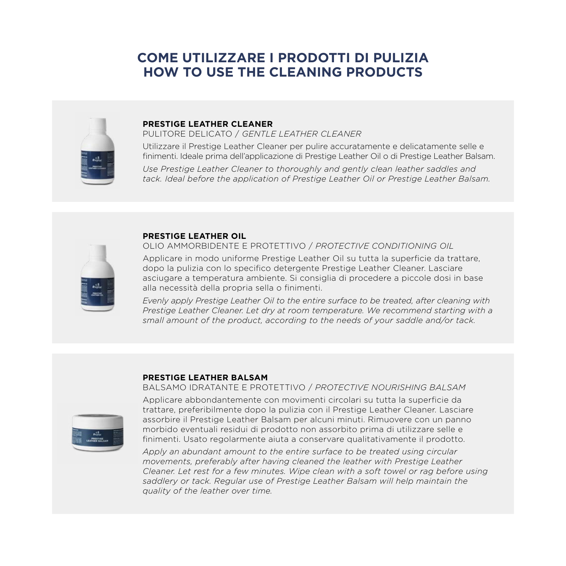# **COME UTILIZZARE I PRODOTTI DI PULIZIA HOW TO USE THE CLEANING PRODUCTS**



#### **PRESTIGE LEATHER CLEANER**

PULITORE DELICATO / *GENTLE LEATHER CLEANER*

Utilizzare il Prestige Leather Cleaner per pulire accuratamente e delicatamente selle e finimenti. Ideale prima dell'applicazione di Prestige Leather Oil o di Prestige Leather Balsam.

*Use Prestige Leather Cleaner to thoroughly and gently clean leather saddles and tack. Ideal before the application of Prestige Leather Oil or Prestige Leather Balsam.*



#### **PRESTIGE LEATHER OIL**

OLIO AMMORBIDENTE E PROTETTIVO / *PROTECTIVE CONDITIONING OIL*

Applicare in modo uniforme Prestige Leather Oil su tutta la superficie da trattare, dopo la pulizia con lo specifico detergente Prestige Leather Cleaner. Lasciare asciugare a temperatura ambiente. Si consiglia di procedere a piccole dosi in base alla necessità della propria sella o finimenti.

*Evenly apply Prestige Leather Oil to the entire surface to be treated, after cleaning with Prestige Leather Cleaner. Let dry at room temperature. We recommend starting with a small amount of the product, according to the needs of your saddle and/or tack.*

#### **PRESTIGE LEATHER BALSAM**

#### BALSAMO IDRATANTE E PROTETTIVO / *PROTECTIVE NOURISHING BALSAM*



Applicare abbondantemente con movimenti circolari su tutta la superficie da trattare, preferibilmente dopo la pulizia con il Prestige Leather Cleaner. Lasciare assorbire il Prestige Leather Balsam per alcuni minuti. Rimuovere con un panno morbido eventuali residui di prodotto non assorbito prima di utilizzare selle e finimenti. Usato regolarmente aiuta a conservare qualitativamente il prodotto.

*Apply an abundant amount to the entire surface to be treated using circular movements, preferably after having cleaned the leather with Prestige Leather Cleaner. Let rest for a few minutes. Wipe clean with a soft towel or rag before using saddlery or tack. Regular use of Prestige Leather Balsam will help maintain the quality of the leather over time.*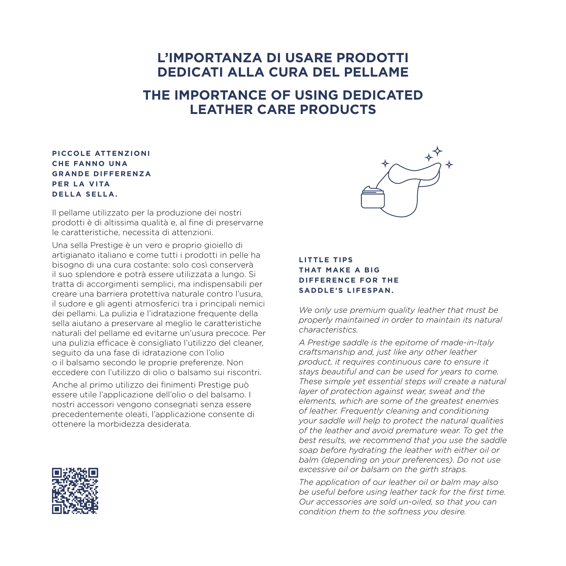## **L'IMPORTANZA DI USARE PRODOTTI DEDICATI ALLA CURA DEL PELLAME**

## **THE IMPORTANCE OF USING DEDICATED LEATHER CARE PRODUCTS**

### **PICCOLE ATTENZIONI CHE FANNO UNA GRANDE DIFFERENZA P E R L A V I TA DELLA SELLA.**

Il pellame utilizzato per la produzione dei nostri prodotti è di altissima qualità e, al fine di preservarne le caratteristiche, necessita di attenzioni.

Una sella Prestige è un vero e proprio gioiello di artigianato italiano e come tutti i prodotti in pelle ha bisogno di una cura costante: solo così conserverà il suo splendore e potrà essere utilizzata a lungo. Si tratta di accorgimenti semplici, ma indispensabili per creare una barriera protettiva naturale contro l'usura, il sudore e gli agenti atmosferici tra i principali nemici dei pellami. La pulizia e l'idratazione frequente della sella aiutano a preservare al meglio le caratteristiche naturali del pellame ed evitarne un'usura precoce. Per una pulizia efficace è consigliato l'utilizzo del cleaner, seguito da una fase di idratazione con l'olio o il balsamo secondo le proprie preferenze. Non eccedere con l'utilizzo di olio o balsamo sui riscontri.

Anche al primo utilizzo dei finimenti Prestige può essere utile l'applicazione dell'olio o del balsamo. I nostri accessori vengono consegnati senza essere precedentemente oleati, l'applicazione consente di ottenere la morbidezza desiderata.





### **LITTLE TIPS THAT MAKE A BIG DIFFERENCE FOR THE SADDLE'S LIFESPAN.**

*We only use premium quality leather that must be properly maintained in order to maintain its natural characteristics.*

*A Prestige saddle is the epitome of made-in-Italy craftsmanship and, just like any other leather product, it requires continuous care to ensure it stays beautiful and can be used for years to come. These simple yet essential steps will create a natural layer of protection against wear, sweat and the elements, which are some of the greatest enemies of leather. Frequently cleaning and conditioning your saddle will help to protect the natural qualities of the leather and avoid premature wear. To get the best results, we recommend that you use the saddle soap before hydrating the leather with either oil or balm (depending on your preferences). Do not use excessive oil or balsam on the girth straps.*

*The application of our leather oil or balm may also be useful before using leather tack for the first time. Our accessories are sold un-oiled, so that you can condition them to the softness you desire.*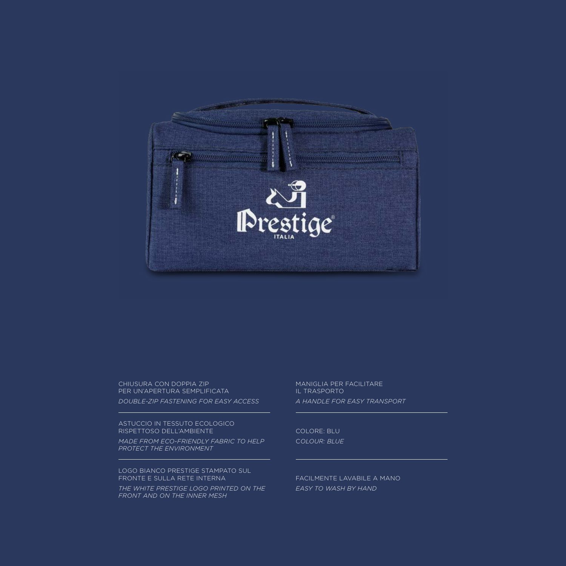

#### CHIUSURA CON DOPPIA ZIP PER UN'APERTURA SEMPLIFICATA

*DOUBLE-ZIP FASTENING FOR EASY ACCESS*

ASTUCCIO IN TESSUTO ECOLOGICO RISPETTOSO DELL'AMBIENTE

*MADE FROM ECO-FRIENDLY FABRIC TO HELP PROTECT THE ENVIRONMENT*

LOGO BIANCO PRESTIGE STAMPATO SUL FRONTE E SULLA RETE INTERNA

*THE WHITE PRESTIGE LOGO PRINTED ON THE FRONT AND ON THE INNER MESH*

MANIGLIA PER FACILITARE IL TRASPORTO *A HANDLE FOR EASY TRANSPORT*

COLORE: BLU C*OLOUR: BLUE*

FACILMENTE LAVABILE A MANO *EASY TO WASH BY HAND*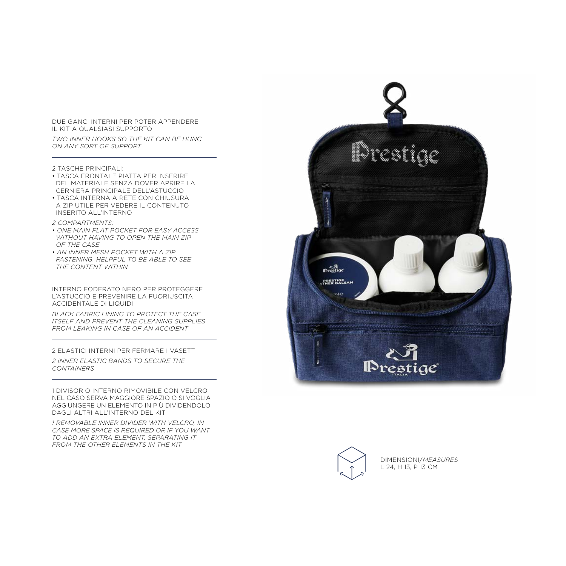DUE GANCI INTERNI PER POTER APPENDERE IL KIT A QUALSIASI SUPPORTO

*TWO INNER HOOKS SO THE KIT CAN BE HUNG ON ANY SORT OF SUPPORT*

2 TASCHE PRINCIPALI:

- TASCA FRONTALE PIATTA PER INSERIRE DEL MATERIALE SENZA DOVER APRIRE LA CERNIERA PRINCIPALE DELL'ASTUCCIO
- TASCA INTERNA A RETE CON CHIUSURA A ZIP UTILE PER VEDERE IL CONTENUTO INSERITO ALL'INTERNO
- *2 COMPARTMENTS:*
- *ONE MAIN FLAT POCKET FOR EASY ACCESS WITHOUT HAVING TO OPEN THE MAIN ZIP OF THE CASE*
- *AN INNER MESH POCKET WITH A ZIP FASTENING, HELPFUL TO BE ABLE TO SEE THE CONTENT WITHIN*

INTERNO FODERATO NERO PER PROTEGGERE L'ASTUCCIO E PREVENIRE LA FUORIUSCITA ACCIDENTALE DI LIQUIDI

*BLACK FABRIC LINING TO PROTECT THE CASE ITSELF AND PREVENT THE CLEANING SUPPLIES FROM LEAKING IN CASE OF AN ACCIDENT*

2 ELASTICI INTERNI PER FERMARE I VASETTI

*2 INNER ELASTIC BANDS TO SECURE THE CONTAINERS*

1 DIVISORIO INTERNO RIMOVIBILE CON VELCRO NEL CASO SERVA MAGGIORE SPAZIO O SI VOGLIA AGGIUNGERE UN ELEMENTO IN PIÙ DIVIDENDOLO DAGLI ALTRI ALL'INTERNO DEL KIT

*1 REMOVABLE INNER DIVIDER WITH VELCRO, IN CASE MORE SPACE IS REQUIRED OR IF YOU WANT TO ADD AN EXTRA ELEMENT, SEPARATING IT FROM THE OTHER ELEMENTS IN THE KIT*





DIMENSIONI/*MEASURES* L 24, H 13, P 13 CM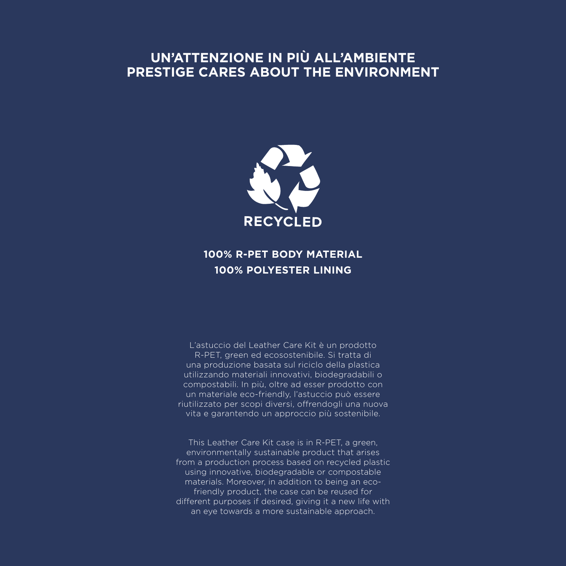# **UN'ATTENZIONE IN PIÙ ALL'AMBIENTE PRESTIGE CARES ABOUT THE ENVIRONMENT**



## **100% R-PET BODY MATERIAL 100% POLYESTER LINING**

L'astuccio del Leather Care Kit è un prodotto R-PET, green ed ecosostenibile. Si tratta di una produzione basata sul riciclo della plastica utilizzando materiali innovativi, biodegradabili o compostabili. In più, oltre ad esser prodotto con un materiale eco-friendly, l'astuccio può essere riutilizzato per scopi diversi, offrendogli una nuova vita e garantendo un approccio più sostenibile.

This Leather Care Kit case is in R-PET, a green, environmentally sustainable product that arises from a production process based on recycled plastic using innovative, biodegradable or compostable materials. Moreover, in addition to being an ecofriendly product, the case can be reused for different purposes if desired, giving it a new life with an eye towards a more sustainable approach.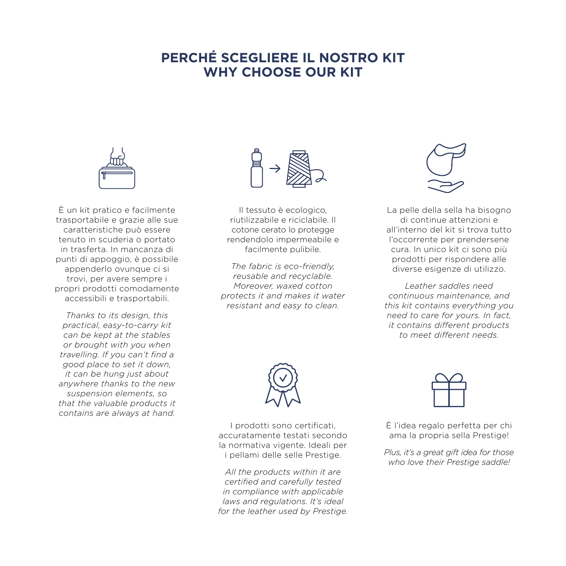# **PERCHÉ SCEGLIERE IL NOSTRO KIT WHY CHOOSE OUR KIT**



È un kit pratico e facilmente trasportabile e grazie alle sue caratteristiche può essere tenuto in scuderia o portato in trasferta. In mancanza di punti di appoggio, è possibile appenderlo ovunque ci si trovi, per avere sempre i propri prodotti comodamente accessibili e trasportabili.

*Thanks to its design, this practical, easy-to-carry kit can be kept at the stables or brought with you when travelling. If you can't find a good place to set it down, it can be hung just about anywhere thanks to the new suspension elements, so that the valuable products it contains are always at hand.*



Il tessuto è ecologico, riutilizzabile e riciclabile. Il cotone cerato lo protegge rendendolo impermeabile e facilmente pulibile.

*The fabric is eco-friendly, reusable and recyclable. Moreover, waxed cotton protects it and makes it water resistant and easy to clean.*



La pelle della sella ha bisogno di continue attenzioni e all'interno del kit si trova tutto l'occorrente per prendersene cura. In unico kit ci sono più prodotti per rispondere alle diverse esigenze di utilizzo.

*Leather saddles need continuous maintenance, and this kit contains everything you need to care for yours. In fact, it contains different products to meet different needs.*



I prodotti sono certificati, accuratamente testati secondo la normativa vigente. Ideali per i pellami delle selle Prestige.

*All the products within it are certified and carefully tested in compliance with applicable laws and regulations. It's ideal for the leather used by Prestige.*



È l'idea regalo perfetta per chi ama la propria sella Prestige!

*Plus, it's a great gift idea for those who love their Prestige saddle!*